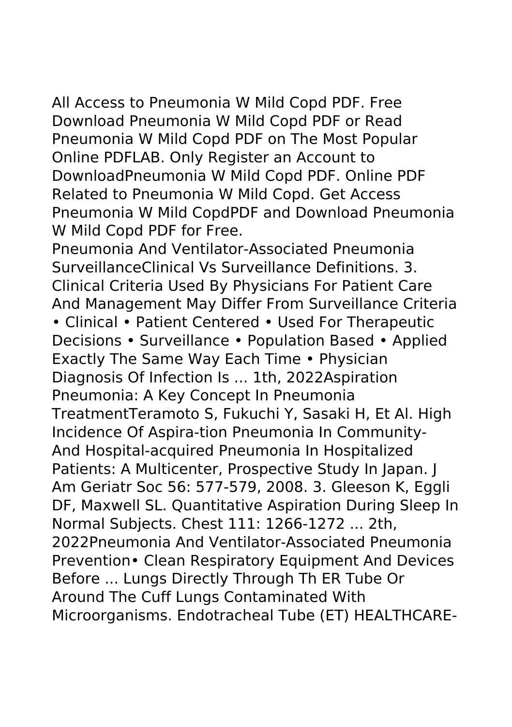All Access to Pneumonia W Mild Copd PDF. Free Download Pneumonia W Mild Copd PDF or Read Pneumonia W Mild Copd PDF on The Most Popular Online PDFLAB. Only Register an Account to DownloadPneumonia W Mild Copd PDF. Online PDF Related to Pneumonia W Mild Copd. Get Access Pneumonia W Mild CopdPDF and Download Pneumonia W Mild Copd PDF for Free.

Pneumonia And Ventilator-Associated Pneumonia SurveillanceClinical Vs Surveillance Definitions. 3. Clinical Criteria Used By Physicians For Patient Care And Management May Differ From Surveillance Criteria • Clinical • Patient Centered • Used For Therapeutic Decisions • Surveillance • Population Based • Applied Exactly The Same Way Each Time • Physician Diagnosis Of Infection Is ... 1th, 2022Aspiration Pneumonia: A Key Concept In Pneumonia TreatmentTeramoto S, Fukuchi Y, Sasaki H, Et Al. High Incidence Of Aspira-tion Pneumonia In Community-And Hospital-acquired Pneumonia In Hospitalized Patients: A Multicenter, Prospective Study In Japan. J Am Geriatr Soc 56: 577-579, 2008. 3. Gleeson K, Eggli DF, Maxwell SL. Quantitative Aspiration During Sleep In Normal Subjects. Chest 111: 1266-1272 ... 2th, 2022Pneumonia And Ventilator-Associated Pneumonia Prevention• Clean Respiratory Equipment And Devices Before ... Lungs Directly Through Th ER Tube Or Around The Cuff Lungs Contaminated With Microorganisms. Endotracheal Tube (ET) HEALTHCARE-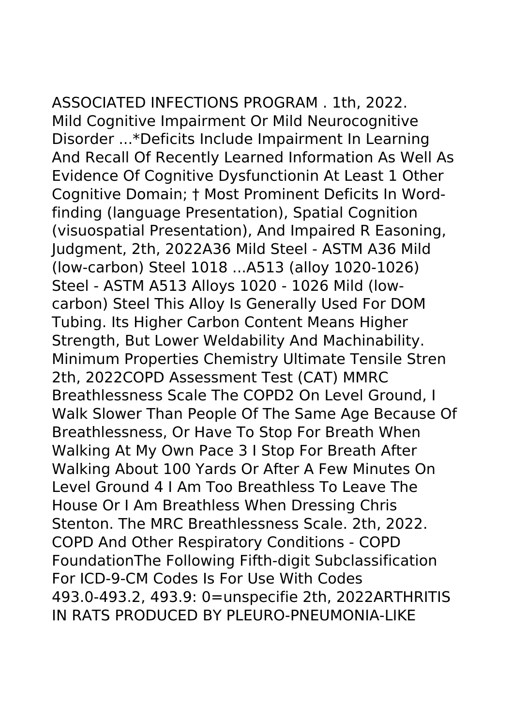ASSOCIATED INFECTIONS PROGRAM . 1th, 2022. Mild Cognitive Impairment Or Mild Neurocognitive Disorder ...\*Deficits Include Impairment In Learning And Recall Of Recently Learned Information As Well As Evidence Of Cognitive Dysfunctionin At Least 1 Other Cognitive Domain; † Most Prominent Deficits In Wordfinding (language Presentation), Spatial Cognition (visuospatial Presentation), And Impaired R Easoning, Judgment, 2th, 2022A36 Mild Steel - ASTM A36 Mild (low-carbon) Steel 1018 ...A513 (alloy 1020-1026) Steel - ASTM A513 Alloys 1020 - 1026 Mild (lowcarbon) Steel This Alloy Is Generally Used For DOM Tubing. Its Higher Carbon Content Means Higher Strength, But Lower Weldability And Machinability. Minimum Properties Chemistry Ultimate Tensile Stren 2th, 2022COPD Assessment Test (CAT) MMRC Breathlessness Scale The COPD2 On Level Ground, I Walk Slower Than People Of The Same Age Because Of Breathlessness, Or Have To Stop For Breath When

Walking At My Own Pace 3 I Stop For Breath After Walking About 100 Yards Or After A Few Minutes On Level Ground 4 I Am Too Breathless To Leave The House Or I Am Breathless When Dressing Chris Stenton. The MRC Breathlessness Scale. 2th, 2022. COPD And Other Respiratory Conditions - COPD FoundationThe Following Fifth-digit Subclassification For ICD-9-CM Codes Is For Use With Codes 493.0-493.2, 493.9: 0=unspecifie 2th, 2022ARTHRITIS IN RATS PRODUCED BY PLEURO-PNEUMONIA-LIKE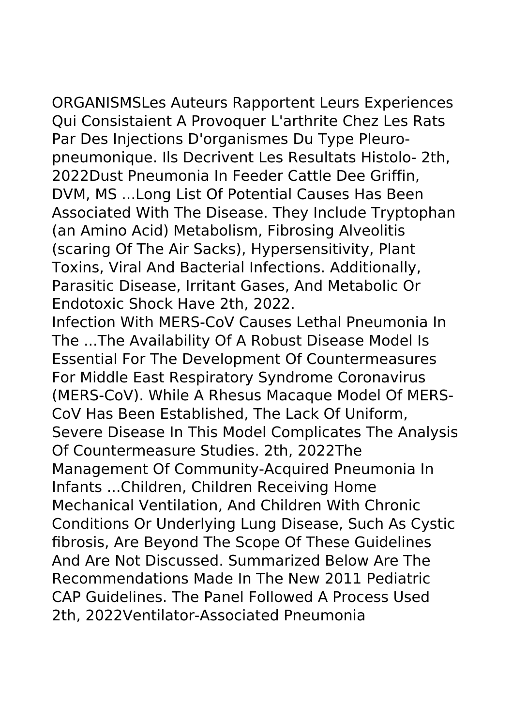ORGANISMSLes Auteurs Rapportent Leurs Experiences Qui Consistaient A Provoquer L'arthrite Chez Les Rats Par Des Injections D'organismes Du Type Pleuropneumonique. Ils Decrivent Les Resultats Histolo- 2th, 2022Dust Pneumonia In Feeder Cattle Dee Griffin, DVM, MS ...Long List Of Potential Causes Has Been Associated With The Disease. They Include Tryptophan (an Amino Acid) Metabolism, Fibrosing Alveolitis (scaring Of The Air Sacks), Hypersensitivity, Plant Toxins, Viral And Bacterial Infections. Additionally, Parasitic Disease, Irritant Gases, And Metabolic Or Endotoxic Shock Have 2th, 2022.

Infection With MERS-CoV Causes Lethal Pneumonia In The ...The Availability Of A Robust Disease Model Is Essential For The Development Of Countermeasures For Middle East Respiratory Syndrome Coronavirus (MERS-CoV). While A Rhesus Macaque Model Of MERS-CoV Has Been Established, The Lack Of Uniform, Severe Disease In This Model Complicates The Analysis Of Countermeasure Studies. 2th, 2022The Management Of Community-Acquired Pneumonia In Infants ...Children, Children Receiving Home Mechanical Ventilation, And Children With Chronic Conditions Or Underlying Lung Disease, Such As Cystic fibrosis, Are Beyond The Scope Of These Guidelines And Are Not Discussed. Summarized Below Are The Recommendations Made In The New 2011 Pediatric CAP Guidelines. The Panel Followed A Process Used 2th, 2022Ventilator-Associated Pneumonia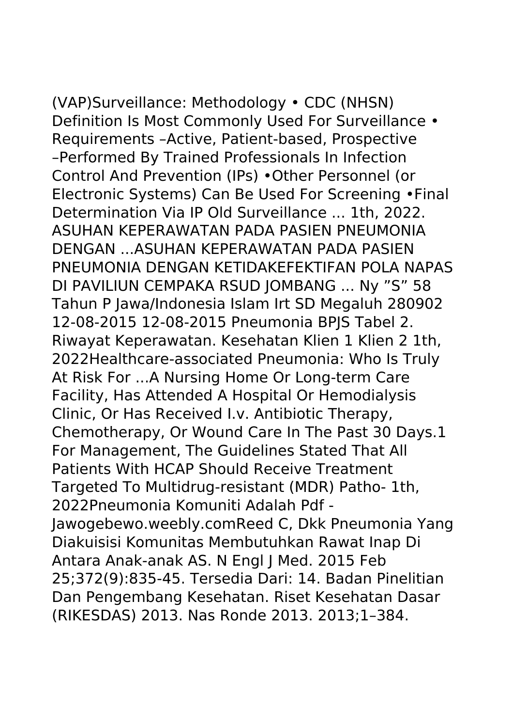(VAP)Surveillance: Methodology • CDC (NHSN) Definition Is Most Commonly Used For Surveillance • Requirements –Active, Patient-based, Prospective –Performed By Trained Professionals In Infection Control And Prevention (IPs) •Other Personnel (or Electronic Systems) Can Be Used For Screening •Final Determination Via IP Old Surveillance ... 1th, 2022. ASUHAN KEPERAWATAN PADA PASIEN PNEUMONIA DENGAN ...ASUHAN KEPERAWATAN PADA PASIEN PNEUMONIA DENGAN KETIDAKEFEKTIFAN POLA NAPAS DI PAVILIUN CEMPAKA RSUD JOMBANG ... Ny "S" 58 Tahun P Jawa/Indonesia Islam Irt SD Megaluh 280902 12-08-2015 12-08-2015 Pneumonia BPJS Tabel 2. Riwayat Keperawatan. Kesehatan Klien 1 Klien 2 1th, 2022Healthcare-associated Pneumonia: Who Is Truly At Risk For ...A Nursing Home Or Long-term Care Facility, Has Attended A Hospital Or Hemodialysis Clinic, Or Has Received I.v. Antibiotic Therapy, Chemotherapy, Or Wound Care In The Past 30 Days.1 For Management, The Guidelines Stated That All Patients With HCAP Should Receive Treatment Targeted To Multidrug-resistant (MDR) Patho- 1th, 2022Pneumonia Komuniti Adalah Pdf - Jawogebewo.weebly.comReed C, Dkk Pneumonia Yang Diakuisisi Komunitas Membutuhkan Rawat Inap Di Antara Anak-anak AS. N Engl J Med. 2015 Feb 25;372(9):835-45. Tersedia Dari: 14. Badan Pinelitian Dan Pengembang Kesehatan. Riset Kesehatan Dasar (RIKESDAS) 2013. Nas Ronde 2013. 2013;1–384.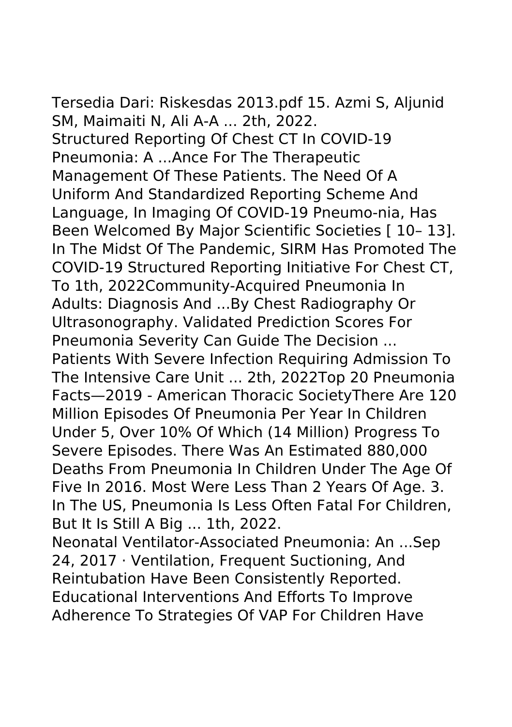Tersedia Dari: Riskesdas 2013.pdf 15. Azmi S, Aljunid SM, Maimaiti N, Ali A-A ... 2th, 2022. Structured Reporting Of Chest CT In COVID-19 Pneumonia: A ...Ance For The Therapeutic Management Of These Patients. The Need Of A Uniform And Standardized Reporting Scheme And Language, In Imaging Of COVID-19 Pneumo-nia, Has Been Welcomed By Major Scientific Societies [ 10– 13]. In The Midst Of The Pandemic, SIRM Has Promoted The COVID-19 Structured Reporting Initiative For Chest CT, To 1th, 2022Community-Acquired Pneumonia In Adults: Diagnosis And ...By Chest Radiography Or Ultrasonography. Validated Prediction Scores For Pneumonia Severity Can Guide The Decision ... Patients With Severe Infection Requiring Admission To The Intensive Care Unit ... 2th, 2022Top 20 Pneumonia Facts—2019 - American Thoracic SocietyThere Are 120 Million Episodes Of Pneumonia Per Year In Children Under 5, Over 10% Of Which (14 Million) Progress To Severe Episodes. There Was An Estimated 880,000 Deaths From Pneumonia In Children Under The Age Of Five In 2016. Most Were Less Than 2 Years Of Age. 3.

In The US, Pneumonia Is Less Often Fatal For Children, But It Is Still A Big ... 1th, 2022.

Neonatal Ventilator-Associated Pneumonia: An ...Sep 24, 2017 · Ventilation, Frequent Suctioning, And Reintubation Have Been Consistently Reported. Educational Interventions And Efforts To Improve Adherence To Strategies Of VAP For Children Have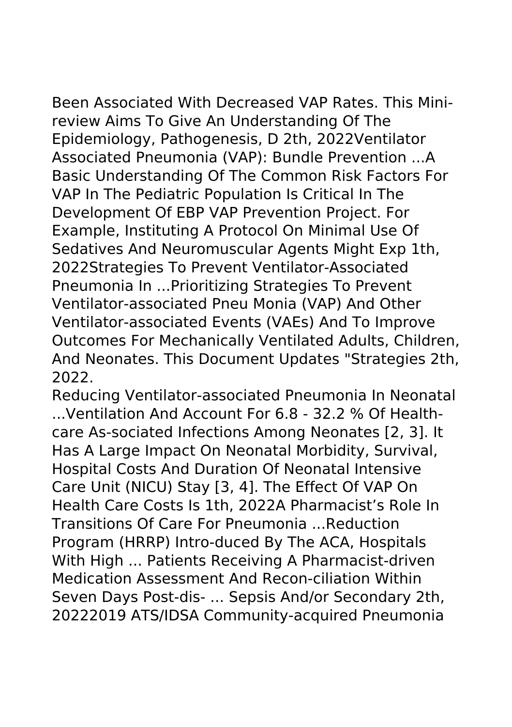Been Associated With Decreased VAP Rates. This Minireview Aims To Give An Understanding Of The Epidemiology, Pathogenesis, D 2th, 2022Ventilator Associated Pneumonia (VAP): Bundle Prevention ...A Basic Understanding Of The Common Risk Factors For VAP In The Pediatric Population Is Critical In The Development Of EBP VAP Prevention Project. For Example, Instituting A Protocol On Minimal Use Of Sedatives And Neuromuscular Agents Might Exp 1th, 2022Strategies To Prevent Ventilator-Associated Pneumonia In ...Prioritizing Strategies To Prevent Ventilator-associated Pneu Monia (VAP) And Other Ventilator-associated Events (VAEs) And To Improve Outcomes For Mechanically Ventilated Adults, Children, And Neonates. This Document Updates "Strategies 2th,

2022.

Reducing Ventilator-associated Pneumonia In Neonatal ...Ventilation And Account For 6.8 - 32.2 % Of Healthcare As-sociated Infections Among Neonates [2, 3]. It Has A Large Impact On Neonatal Morbidity, Survival, Hospital Costs And Duration Of Neonatal Intensive Care Unit (NICU) Stay [3, 4]. The Effect Of VAP On Health Care Costs Is 1th, 2022A Pharmacist's Role In Transitions Of Care For Pneumonia ...Reduction Program (HRRP) Intro-duced By The ACA, Hospitals With High ... Patients Receiving A Pharmacist-driven Medication Assessment And Recon-ciliation Within Seven Days Post-dis- ... Sepsis And/or Secondary 2th, 20222019 ATS/IDSA Community-acquired Pneumonia